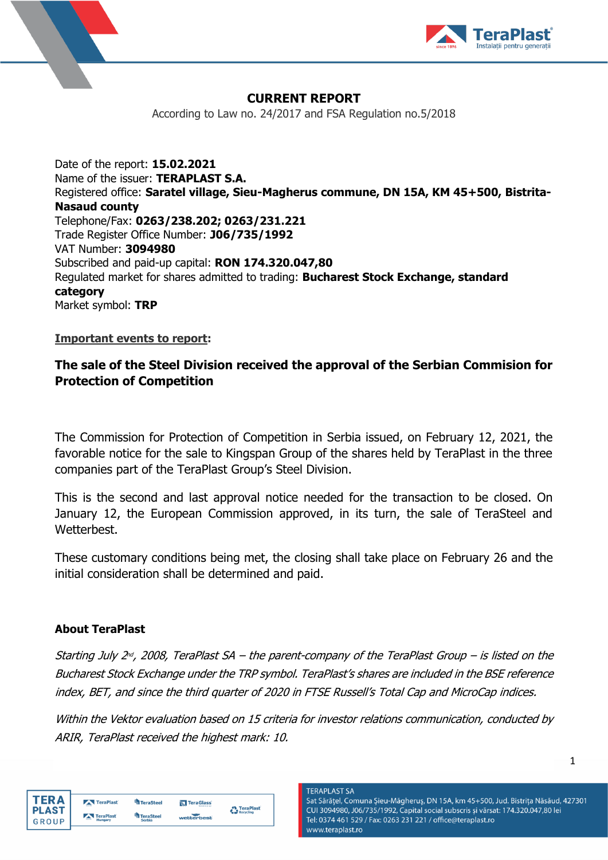



## **CURRENT REPORT**

According to Law no. 24/2017 and FSA Regulation no.5/2018

Date of the report: **15.02.2021** Name of the issuer: **TERAPLAST S.A.** Registered office: **Saratel village, Sieu-Magherus commune, DN 15A, KM 45+500, Bistrita-Nasaud county** Telephone/Fax: **0263/238.202; 0263/231.221** Trade Register Office Number: **J06/735/1992** VAT Number: **3094980** Subscribed and paid-up capital: **RON 174.320.047,80** Regulated market for shares admitted to trading: **Bucharest Stock Exchange, standard category** Market symbol: **TRP**

#### **Important events to report:**

# **The sale of the Steel Division received the approval of the Serbian Commision for Protection of Competition**

The Commission for Protection of Competition in Serbia issued, on February 12, 2021, the favorable notice for the sale to Kingspan Group of the shares held by TeraPlast in the three companies part of the TeraPlast Group's Steel Division.

This is the second and last approval notice needed for the transaction to be closed. On January 12, the European Commission approved, in its turn, the sale of TeraSteel and Wetterbest.

These customary conditions being met, the closing shall take place on February 26 and the initial consideration shall be determined and paid.

## **About TeraPlast**

Starting July 2<sup>nd</sup>, 2008, TeraPlast SA – the parent-company of the TeraPlast Group – is listed on the Bucharest Stock Exchange under the TRP symbol. TeraPlast's shares are included in the BSE reference index, BET, and since the third quarter of 2020 in FTSE Russell's Total Cap and MicroCap indices.

Within the Vektor evaluation based on 15 criteria for investor relations communication, conducted by ARIR, TeraPlast received the highest mark: 10.

| TFR A        | TeraPlast           | TeraSteel     | TeraGlass  | <b>TeraPlast</b> |  |
|--------------|---------------------|---------------|------------|------------------|--|
| <b>PLAST</b> | TeraPlast           | TeraSteel     |            | Recycling        |  |
| GROUP        | $-0.000$<br>Hungary | <b>Serbia</b> | wetterbest |                  |  |

**TERAPLAST SA** Sat Sărățel, Comuna Șieu-Măgheruș, DN 15A, km 45+500, Jud. Bistrița Năsăud, 427301 CUI 3094980, J06/735/1992, Capital social subscris și vărsat: 174.320.047,80 lei Tel: 0374 461 529 / Fax: 0263 231 221 / office@teraplast.ro www.teraplast.ro